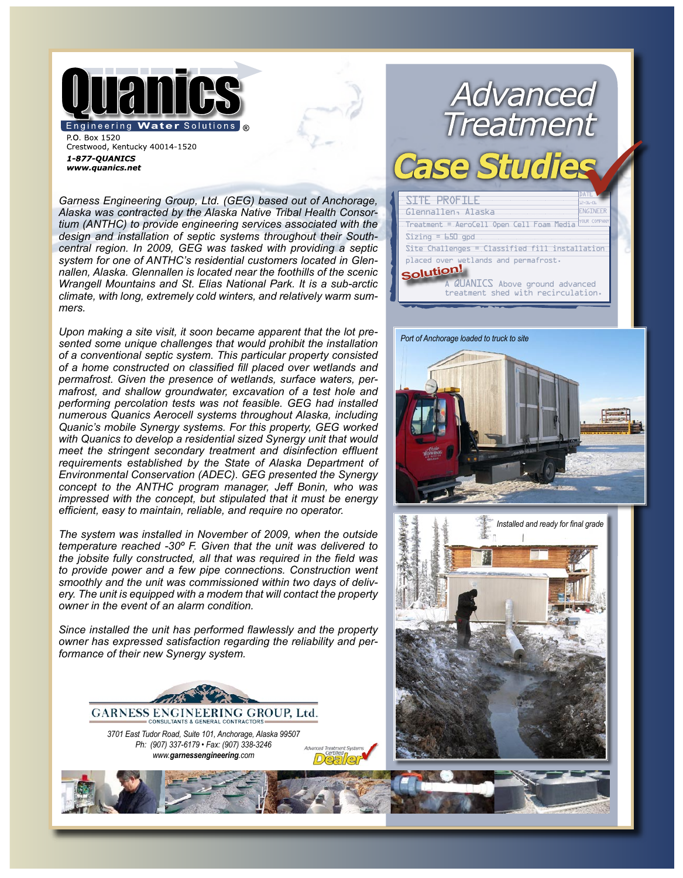

P.O. Box 1520 Crestwood, Kentucky 40014-1520 1-877-QUANICS www.quanics.net

*Garness Engineering Group, Ltd. (GEG) based out of Anchorage, Alaska was contracted by the Alaska Native Tribal Health Consortium (ANTHC) to provide engineering services associated with the design and installation of septic systems throughout their Southcentral region. In 2009, GEG was tasked with providing a septic system for one of ANTHC's residential customers located in Glennallen, Alaska. Glennallen is located near the foothills of the scenic Wrangell Mountains and St. Elias National Park. It is a sub-arctic climate, with long, extremely cold winters, and relatively warm summers.* 

*Upon making a site visit, it soon became apparent that the lot presented some unique challenges that would prohibit the installation of a conventional septic system. This particular property consisted of a home constructed on classified fill placed over wetlands and permafrost. Given the presence of wetlands, surface waters, permafrost, and shallow groundwater, excavation of a test hole and performing percolation tests was not feasible. GEG had installed numerous Quanics Aerocell systems throughout Alaska, including Quanic's mobile Synergy systems. For this property, GEG worked with Quanics to develop a residential sized Synergy unit that would meet the stringent secondary treatment and disinfection effluent requirements established by the State of Alaska Department of Environmental Conservation (ADEC). GEG presented the Synergy concept to the ANTHC program manager, Jeff Bonin, who was impressed with the concept, but stipulated that it must be energy efficient, easy to maintain, reliable, and require no operator.* 

*The system was installed in November of 2009, when the outside temperature reached -30º F. Given that the unit was delivered to the jobsite fully constructed, all that was required in the field was to provide power and a few pipe connections. Construction went smoothly and the unit was commissioned within two days of delivery. The unit is equipped with a modem that will contact the property owner in the event of an alarm condition.* 

*Since installed the unit has performed flawlessly and the property owner has expressed satisfaction regarding the reliability and performance of their new Synergy system.*



## Advanced<br>Treatment Case SITE PROFILE Glennallen, Alaska **NGINEE** Treatment = AeroCell Open Cell Foam Media  $Sizing = 650$  gpd Site Challenges = Classified fill installation placed over wetlands and permafrost. **Solution!** A QUANICS Above ground advanced treatment shed with recirculation.

## *Port of Anchorage loaded to truck to site*